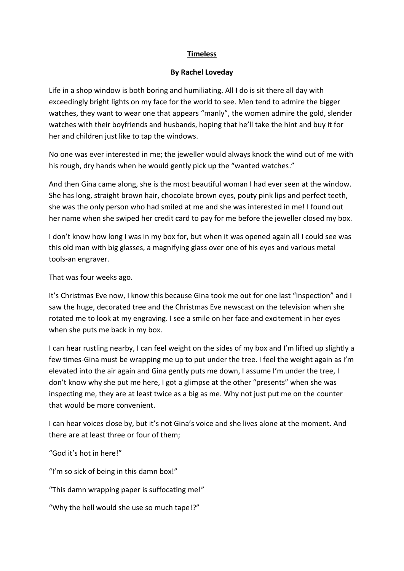## **Timeless**

## **By Rachel Loveday**

Life in a shop window is both boring and humiliating. All I do is sit there all day with exceedingly bright lights on my face for the world to see. Men tend to admire the bigger watches, they want to wear one that appears "manly", the women admire the gold, slender watches with their boyfriends and husbands, hoping that he'll take the hint and buy it for her and children just like to tap the windows.

No one was ever interested in me; the jeweller would always knock the wind out of me with his rough, dry hands when he would gently pick up the "wanted watches."

And then Gina came along, she is the most beautiful woman I had ever seen at the window. She has long, straight brown hair, chocolate brown eyes, pouty pink lips and perfect teeth, she was the only person who had smiled at me and she was interested in me! I found out her name when she swiped her credit card to pay for me before the jeweller closed my box.

I don't know how long I was in my box for, but when it was opened again all I could see was this old man with big glasses, a magnifying glass over one of his eyes and various metal tools-an engraver.

That was four weeks ago.

It's Christmas Eve now, I know this because Gina took me out for one last "inspection" and I saw the huge, decorated tree and the Christmas Eve newscast on the television when she rotated me to look at my engraving. I see a smile on her face and excitement in her eyes when she puts me back in my box.

I can hear rustling nearby, I can feel weight on the sides of my box and I'm lifted up slightly a few times-Gina must be wrapping me up to put under the tree. I feel the weight again as I'm elevated into the air again and Gina gently puts me down, I assume I'm under the tree, I don't know why she put me here, I got a glimpse at the other "presents" when she was inspecting me, they are at least twice as a big as me. Why not just put me on the counter that would be more convenient.

I can hear voices close by, but it's not Gina's voice and she lives alone at the moment. And there are at least three or four of them;

"God it's hot in here!"

"I'm so sick of being in this damn box!"

"This damn wrapping paper is suffocating me!"

"Why the hell would she use so much tape!?"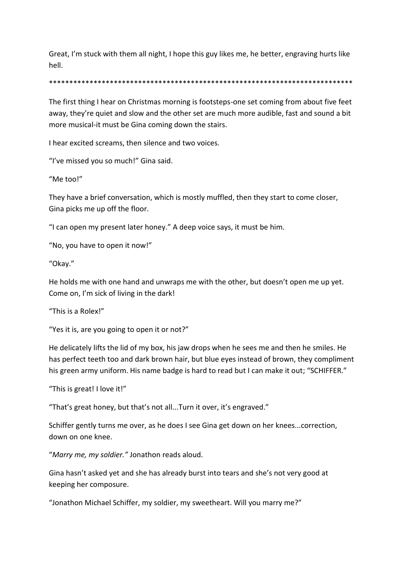Great, I'm stuck with them all night, I hope this guy likes me, he better, engraving hurts like hell.

## \*\*\*\*\*\*\*\*\*\*\*\*\*\*\*\*\*\*\*\*\*\*\*\*\*\*\*\*\*\*\*\*\*\*\*\*\*\*\*\*\*\*\*\*\*\*\*\*\*\*\*\*\*\*\*\*\*\*\*\*\*\*\*\*\*\*\*\*\*\*\*\*\*\*\*

The first thing I hear on Christmas morning is footsteps-one set coming from about five feet away, they're quiet and slow and the other set are much more audible, fast and sound a bit more musical-it must be Gina coming down the stairs.

I hear excited screams, then silence and two voices.

"I've missed you so much!" Gina said.

"Me too!"

They have a brief conversation, which is mostly muffled, then they start to come closer, Gina picks me up off the floor.

"I can open my present later honey." A deep voice says, it must be him.

"No, you have to open it now!"

"Okay."

He holds me with one hand and unwraps me with the other, but doesn't open me up yet. Come on, I'm sick of living in the dark!

"This is a Rolex!"

"Yes it is, are you going to open it or not?"

He delicately lifts the lid of my box, his jaw drops when he sees me and then he smiles. He has perfect teeth too and dark brown hair, but blue eyes instead of brown, they compliment his green army uniform. His name badge is hard to read but I can make it out; "SCHIFFER."

"This is great! I love it!"

"That's great honey, but that's not all...Turn it over, it's engraved."

Schiffer gently turns me over, as he does I see Gina get down on her knees...correction, down on one knee.

"*Marry me, my soldier."* Jonathon reads aloud.

Gina hasn't asked yet and she has already burst into tears and she's not very good at keeping her composure.

"Jonathon Michael Schiffer, my soldier, my sweetheart. Will you marry me?"